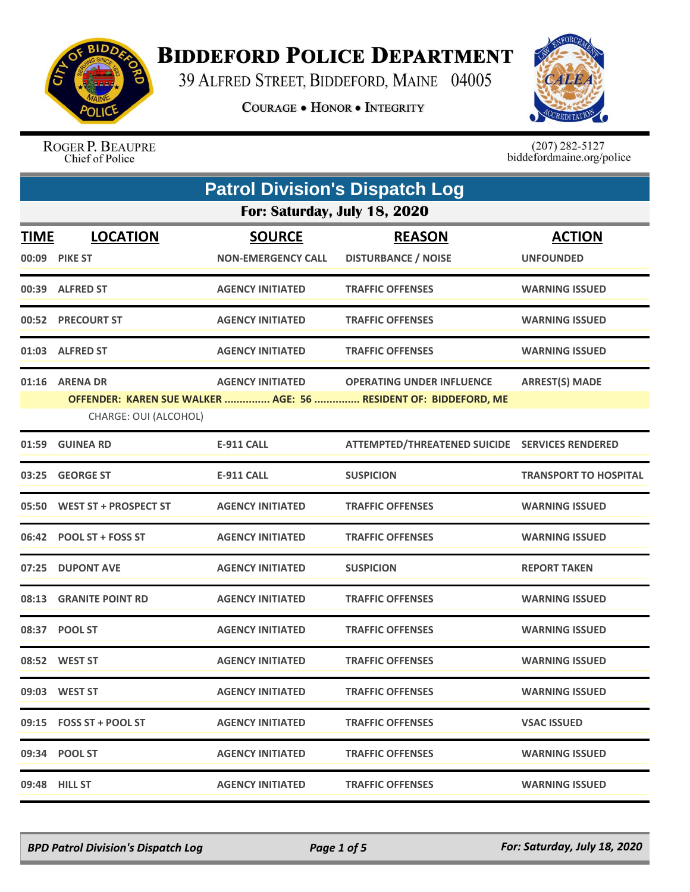

## **BIDDEFORD POLICE DEPARTMENT**

39 ALFRED STREET, BIDDEFORD, MAINE 04005

**COURAGE . HONOR . INTEGRITY** 



ROGER P. BEAUPRE Chief of Police

 $(207)$  282-5127<br>biddefordmaine.org/police

|             | <b>Patrol Division's Dispatch Log</b> |                           |                                                                 |                              |  |
|-------------|---------------------------------------|---------------------------|-----------------------------------------------------------------|------------------------------|--|
|             | For: Saturday, July 18, 2020          |                           |                                                                 |                              |  |
| <u>TIME</u> | <b>LOCATION</b>                       | <b>SOURCE</b>             | <b>REASON</b>                                                   | <b>ACTION</b>                |  |
|             | 00:09 PIKE ST                         | <b>NON-EMERGENCY CALL</b> | <b>DISTURBANCE / NOISE</b>                                      | <b>UNFOUNDED</b>             |  |
|             | 00:39 ALFRED ST                       | <b>AGENCY INITIATED</b>   | <b>TRAFFIC OFFENSES</b>                                         | <b>WARNING ISSUED</b>        |  |
|             | 00:52 PRECOURT ST                     | <b>AGENCY INITIATED</b>   | <b>TRAFFIC OFFENSES</b>                                         | <b>WARNING ISSUED</b>        |  |
|             | 01:03 ALFRED ST                       | <b>AGENCY INITIATED</b>   | <b>TRAFFIC OFFENSES</b>                                         | <b>WARNING ISSUED</b>        |  |
|             | 01:16 ARENA DR                        | <b>AGENCY INITIATED</b>   | <b>OPERATING UNDER INFLUENCE</b>                                | <b>ARREST(S) MADE</b>        |  |
|             | CHARGE: OUI (ALCOHOL)                 |                           | OFFENDER: KAREN SUE WALKER  AGE: 56  RESIDENT OF: BIDDEFORD, ME |                              |  |
|             | 01:59 GUINEA RD                       | <b>E-911 CALL</b>         | ATTEMPTED/THREATENED SUICIDE SERVICES RENDERED                  |                              |  |
|             | 03:25 GEORGE ST                       | <b>E-911 CALL</b>         | <b>SUSPICION</b>                                                | <b>TRANSPORT TO HOSPITAL</b> |  |
|             | 05:50 WEST ST + PROSPECT ST           | <b>AGENCY INITIATED</b>   | <b>TRAFFIC OFFENSES</b>                                         | <b>WARNING ISSUED</b>        |  |
|             | 06:42 POOL ST + FOSS ST               | <b>AGENCY INITIATED</b>   | <b>TRAFFIC OFFENSES</b>                                         | <b>WARNING ISSUED</b>        |  |
| 07:25       | <b>DUPONT AVE</b>                     | <b>AGENCY INITIATED</b>   | <b>SUSPICION</b>                                                | <b>REPORT TAKEN</b>          |  |
|             | 08:13 GRANITE POINT RD                | <b>AGENCY INITIATED</b>   | <b>TRAFFIC OFFENSES</b>                                         | <b>WARNING ISSUED</b>        |  |
|             | 08:37 POOL ST                         | <b>AGENCY INITIATED</b>   | <b>TRAFFIC OFFENSES</b>                                         | <b>WARNING ISSUED</b>        |  |
|             | 08:52 WEST ST                         | <b>AGENCY INITIATED</b>   | <b>TRAFFIC OFFENSES</b>                                         | <b>WARNING ISSUED</b>        |  |
|             | 09:03 WEST ST                         | <b>AGENCY INITIATED</b>   | <b>TRAFFIC OFFENSES</b>                                         | <b>WARNING ISSUED</b>        |  |
|             | 09:15 FOSS ST + POOL ST               | <b>AGENCY INITIATED</b>   | <b>TRAFFIC OFFENSES</b>                                         | <b>VSAC ISSUED</b>           |  |
|             | 09:34 POOL ST                         | <b>AGENCY INITIATED</b>   | <b>TRAFFIC OFFENSES</b>                                         | <b>WARNING ISSUED</b>        |  |
|             | 09:48 HILL ST                         | <b>AGENCY INITIATED</b>   | <b>TRAFFIC OFFENSES</b>                                         | <b>WARNING ISSUED</b>        |  |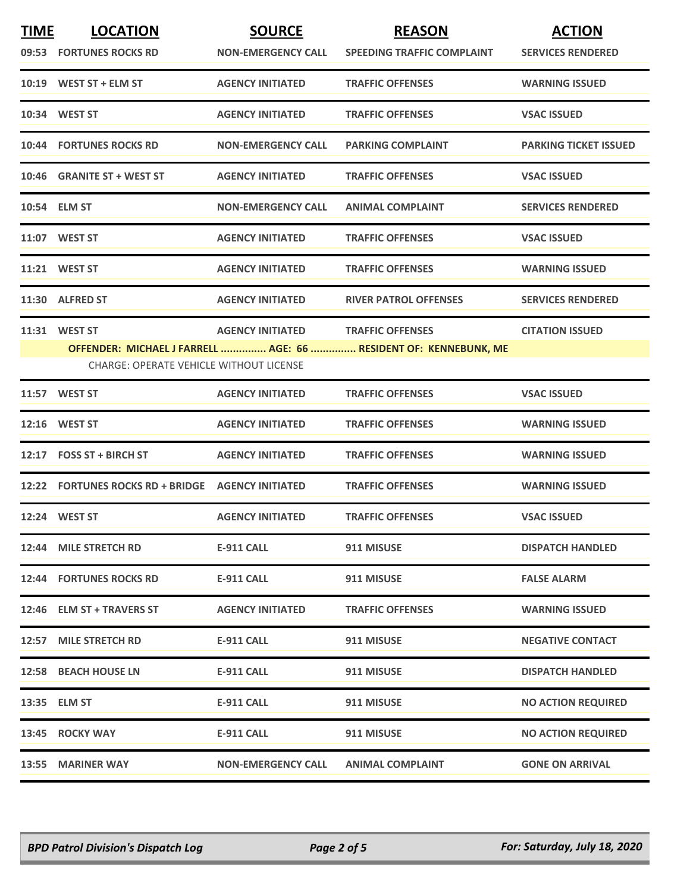| <b>TIME</b> | <b>LOCATION</b><br>09:53 FORTUNES ROCKS RD                      | <b>SOURCE</b><br><b>NON-EMERGENCY CALL</b> | <b>REASON</b><br><b>SPEEDING TRAFFIC COMPLAINT</b>                                          | <b>ACTION</b><br><b>SERVICES RENDERED</b> |
|-------------|-----------------------------------------------------------------|--------------------------------------------|---------------------------------------------------------------------------------------------|-------------------------------------------|
|             | $10:19$ WEST ST + ELM ST                                        | <b>AGENCY INITIATED</b>                    | <b>TRAFFIC OFFENSES</b>                                                                     | <b>WARNING ISSUED</b>                     |
|             | 10:34 WEST ST                                                   | <b>AGENCY INITIATED</b>                    | <b>TRAFFIC OFFENSES</b>                                                                     | <b>VSAC ISSUED</b>                        |
|             | <b>10:44 FORTUNES ROCKS RD</b>                                  | <b>NON-EMERGENCY CALL</b>                  | <b>PARKING COMPLAINT</b>                                                                    | <b>PARKING TICKET ISSUED</b>              |
|             | 10:46 GRANITE ST + WEST ST                                      | <b>AGENCY INITIATED</b>                    | <b>TRAFFIC OFFENSES</b>                                                                     | <b>VSAC ISSUED</b>                        |
|             | 10:54 ELM ST                                                    | <b>NON-EMERGENCY CALL</b>                  | <b>ANIMAL COMPLAINT</b>                                                                     | <b>SERVICES RENDERED</b>                  |
|             |                                                                 | <b>AGENCY INITIATED</b>                    | <b>TRAFFIC OFFENSES</b>                                                                     | <b>VSAC ISSUED</b>                        |
|             | 11:21 WEST ST                                                   | <b>AGENCY INITIATED</b>                    | <b>TRAFFIC OFFENSES</b>                                                                     | <b>WARNING ISSUED</b>                     |
|             | 11:30 ALFRED ST                                                 | <b>AGENCY INITIATED</b>                    | <b>RIVER PATROL OFFENSES</b>                                                                | <b>SERVICES RENDERED</b>                  |
|             | 11:31 WEST ST<br><b>CHARGE: OPERATE VEHICLE WITHOUT LICENSE</b> | <b>AGENCY INITIATED</b>                    | <b>TRAFFIC OFFENSES</b><br>OFFENDER: MICHAEL J FARRELL  AGE: 66  RESIDENT OF: KENNEBUNK, ME | <b>CITATION ISSUED</b>                    |
|             | 11:57 WEST ST                                                   | <b>AGENCY INITIATED</b>                    | <b>TRAFFIC OFFENSES</b>                                                                     | <b>VSAC ISSUED</b>                        |
|             | 12:16 WEST ST                                                   | <b>AGENCY INITIATED</b>                    | <b>TRAFFIC OFFENSES</b>                                                                     | <b>WARNING ISSUED</b>                     |
|             | 12:17 FOSS ST + BIRCH ST                                        | <b>AGENCY INITIATED</b>                    | <b>TRAFFIC OFFENSES</b>                                                                     | <b>WARNING ISSUED</b>                     |
|             | 12:22 FORTUNES ROCKS RD + BRIDGE AGENCY INITIATED               |                                            | <b>TRAFFIC OFFENSES</b>                                                                     | <b>WARNING ISSUED</b>                     |
|             | 12:24 WEST ST                                                   | <b>AGENCY INITIATED</b>                    | <b>TRAFFIC OFFENSES</b>                                                                     | <b>VSAC ISSUED</b>                        |
|             | 12:44 MILE STRETCH RD                                           | <b>E-911 CALL</b>                          | 911 MISUSE                                                                                  | <b>DISPATCH HANDLED</b>                   |
|             | <b>12:44 FORTUNES ROCKS RD</b>                                  | E-911 CALL                                 | 911 MISUSE                                                                                  | <b>FALSE ALARM</b>                        |
|             | 12:46 ELM ST + TRAVERS ST                                       | <b>AGENCY INITIATED</b>                    | <b>TRAFFIC OFFENSES</b>                                                                     | <b>WARNING ISSUED</b>                     |
|             | 12:57 MILE STRETCH RD                                           | <b>E-911 CALL</b>                          | 911 MISUSE                                                                                  | <b>NEGATIVE CONTACT</b>                   |
|             | 12:58 BEACH HOUSE LN                                            | <b>E-911 CALL</b>                          | 911 MISUSE                                                                                  | <b>DISPATCH HANDLED</b>                   |
|             |                                                                 | <b>E-911 CALL</b>                          | 911 MISUSE                                                                                  | <b>NO ACTION REQUIRED</b>                 |
|             | 13:45 ROCKY WAY                                                 | <b>E-911 CALL</b>                          | 911 MISUSE                                                                                  | <b>NO ACTION REQUIRED</b>                 |
|             | 13:55 MARINER WAY                                               | <b>NON-EMERGENCY CALL</b>                  | <b>ANIMAL COMPLAINT</b>                                                                     | <b>GONE ON ARRIVAL</b>                    |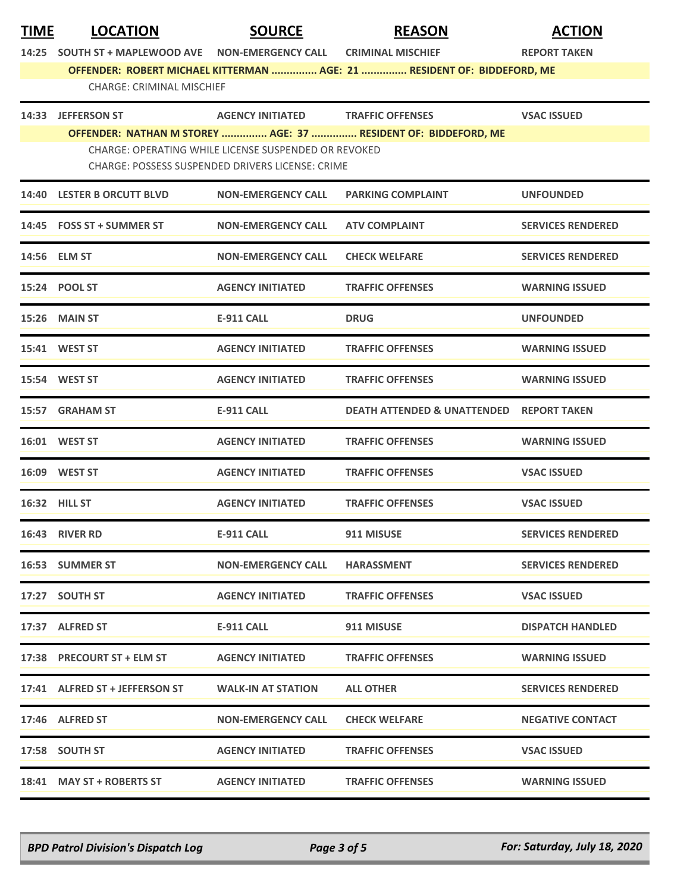| <b>TIME</b> | <b>LOCATION</b>                                   | <b>SOURCE</b>                                        | <b>REASON</b>                                                           | <b>ACTION</b>            |  |
|-------------|---------------------------------------------------|------------------------------------------------------|-------------------------------------------------------------------------|--------------------------|--|
|             | 14:25 SOUTH ST + MAPLEWOOD AVE NON-EMERGENCY CALL |                                                      | <b>CRIMINAL MISCHIEF</b>                                                | <b>REPORT TAKEN</b>      |  |
|             |                                                   |                                                      | OFFENDER: ROBERT MICHAEL KITTERMAN  AGE: 21  RESIDENT OF: BIDDEFORD, ME |                          |  |
|             | <b>CHARGE: CRIMINAL MISCHIEF</b>                  |                                                      |                                                                         |                          |  |
|             | 14:33 JEFFERSON ST                                | AGENCY INITIATED TRAFFIC OFFENSES                    |                                                                         | <b>VSAC ISSUED</b>       |  |
|             |                                                   |                                                      | OFFENDER: NATHAN M STOREY  AGE: 37  RESIDENT OF: BIDDEFORD, ME          |                          |  |
|             |                                                   | CHARGE: OPERATING WHILE LICENSE SUSPENDED OR REVOKED |                                                                         |                          |  |
|             |                                                   | CHARGE: POSSESS SUSPENDED DRIVERS LICENSE: CRIME     |                                                                         |                          |  |
|             | 14:40 LESTER B ORCUTT BLVD                        | <b>NON-EMERGENCY CALL</b>                            | <b>PARKING COMPLAINT</b>                                                | <b>UNFOUNDED</b>         |  |
|             | 14:45 FOSS ST + SUMMER ST                         | <b>NON-EMERGENCY CALL</b>                            | <b>ATV COMPLAINT</b>                                                    | <b>SERVICES RENDERED</b> |  |
|             | 14:56 ELM ST                                      | <b>NON-EMERGENCY CALL</b>                            | <b>CHECK WELFARE</b>                                                    | <b>SERVICES RENDERED</b> |  |
|             | 15:24 POOL ST                                     | <b>AGENCY INITIATED</b>                              | <b>TRAFFIC OFFENSES</b>                                                 | <b>WARNING ISSUED</b>    |  |
|             | <b>15:26 MAIN ST</b>                              | E-911 CALL                                           | <b>DRUG</b>                                                             | <b>UNFOUNDED</b>         |  |
|             | 15:41 WEST ST                                     | <b>AGENCY INITIATED</b>                              | <b>TRAFFIC OFFENSES</b>                                                 | <b>WARNING ISSUED</b>    |  |
|             | 15:54 WEST ST                                     | <b>AGENCY INITIATED</b>                              | <b>TRAFFIC OFFENSES</b>                                                 | <b>WARNING ISSUED</b>    |  |
|             | 15:57 GRAHAM ST                                   | <b>E-911 CALL</b>                                    | <b>DEATH ATTENDED &amp; UNATTENDED</b>                                  | <b>REPORT TAKEN</b>      |  |
|             | 16:01 WEST ST                                     | <b>AGENCY INITIATED</b>                              | <b>TRAFFIC OFFENSES</b>                                                 | <b>WARNING ISSUED</b>    |  |
|             | 16:09 WEST ST                                     | <b>AGENCY INITIATED</b>                              | <b>TRAFFIC OFFENSES</b>                                                 | <b>VSAC ISSUED</b>       |  |
|             | <b>16:32 HILL ST</b>                              | <b>AGENCY INITIATED</b>                              | <b>TRAFFIC OFFENSES</b>                                                 | <b>VSAC ISSUED</b>       |  |
|             | <b>16:43 RIVER RD</b>                             | <b>E-911 CALL</b>                                    | 911 MISUSE                                                              | <b>SERVICES RENDERED</b> |  |
|             | 16:53 SUMMER ST                                   | <b>NON-EMERGENCY CALL</b>                            | <b>HARASSMENT</b>                                                       | <b>SERVICES RENDERED</b> |  |
|             | 17:27 SOUTH ST                                    | <b>AGENCY INITIATED</b>                              | <b>TRAFFIC OFFENSES</b>                                                 | <b>VSAC ISSUED</b>       |  |
|             | 17:37 ALFRED ST                                   | E-911 CALL                                           | 911 MISUSE                                                              | <b>DISPATCH HANDLED</b>  |  |
|             | 17:38 PRECOURT ST + ELM ST                        | <b>AGENCY INITIATED</b>                              | <b>TRAFFIC OFFENSES</b>                                                 | <b>WARNING ISSUED</b>    |  |
|             | 17:41 ALFRED ST + JEFFERSON ST                    | <b>WALK-IN AT STATION</b>                            | <b>ALL OTHER</b>                                                        | <b>SERVICES RENDERED</b> |  |
|             | 17:46 ALFRED ST                                   | <b>NON-EMERGENCY CALL</b>                            | <b>CHECK WELFARE</b>                                                    | <b>NEGATIVE CONTACT</b>  |  |
|             | 17:58 SOUTH ST                                    | <b>AGENCY INITIATED</b>                              | <b>TRAFFIC OFFENSES</b>                                                 | <b>VSAC ISSUED</b>       |  |
|             | 18:41 MAY ST + ROBERTS ST                         | <b>AGENCY INITIATED</b>                              | <b>TRAFFIC OFFENSES</b>                                                 | <b>WARNING ISSUED</b>    |  |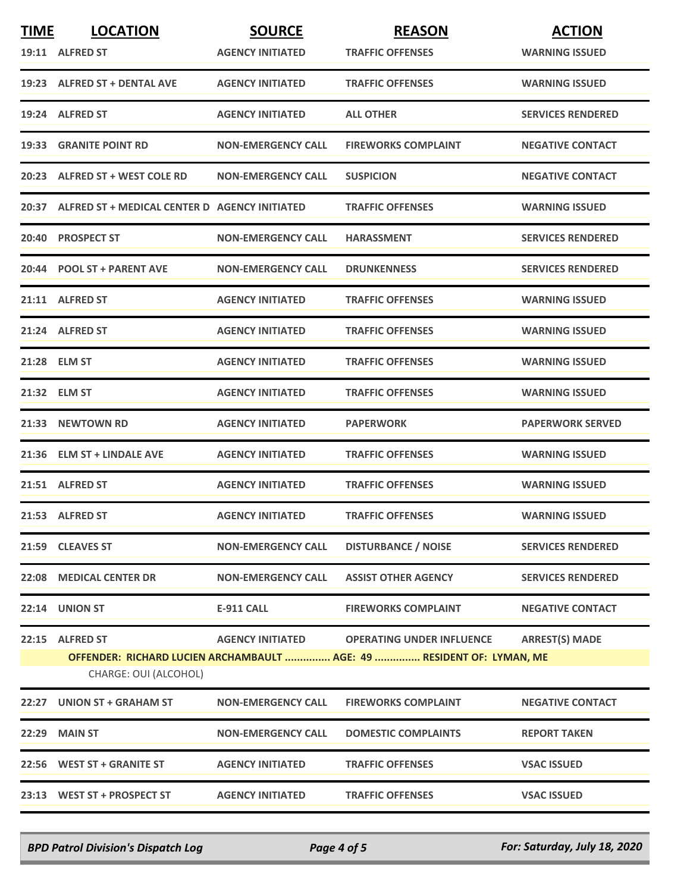| <b>TIME</b> | <b>LOCATION</b>                                     | <b>SOURCE</b>             | <b>REASON</b>                                                         | <b>ACTION</b>            |
|-------------|-----------------------------------------------------|---------------------------|-----------------------------------------------------------------------|--------------------------|
|             | 19:11 ALFRED ST                                     | <b>AGENCY INITIATED</b>   | <b>TRAFFIC OFFENSES</b>                                               | <b>WARNING ISSUED</b>    |
|             | 19:23 ALFRED ST + DENTAL AVE                        | <b>AGENCY INITIATED</b>   | <b>TRAFFIC OFFENSES</b>                                               | <b>WARNING ISSUED</b>    |
|             | 19:24 ALFRED ST                                     | <b>AGENCY INITIATED</b>   | <b>ALL OTHER</b>                                                      | <b>SERVICES RENDERED</b> |
|             | 19:33 GRANITE POINT RD                              | <b>NON-EMERGENCY CALL</b> | <b>FIREWORKS COMPLAINT</b>                                            | <b>NEGATIVE CONTACT</b>  |
|             | 20:23 ALFRED ST + WEST COLE RD                      | <b>NON-EMERGENCY CALL</b> | <b>SUSPICION</b>                                                      | <b>NEGATIVE CONTACT</b>  |
|             | 20:37 ALFRED ST + MEDICAL CENTER D AGENCY INITIATED |                           | <b>TRAFFIC OFFENSES</b>                                               | <b>WARNING ISSUED</b>    |
|             | 20:40 PROSPECT ST                                   | <b>NON-EMERGENCY CALL</b> | <b>HARASSMENT</b>                                                     | <b>SERVICES RENDERED</b> |
|             | 20:44 POOL ST + PARENT AVE                          | <b>NON-EMERGENCY CALL</b> | <b>DRUNKENNESS</b>                                                    | <b>SERVICES RENDERED</b> |
|             | 21:11 ALFRED ST                                     | <b>AGENCY INITIATED</b>   | <b>TRAFFIC OFFENSES</b>                                               | <b>WARNING ISSUED</b>    |
|             | 21:24 ALFRED ST                                     | <b>AGENCY INITIATED</b>   | <b>TRAFFIC OFFENSES</b>                                               | <b>WARNING ISSUED</b>    |
|             | 21:28 ELM ST                                        | <b>AGENCY INITIATED</b>   | <b>TRAFFIC OFFENSES</b>                                               | <b>WARNING ISSUED</b>    |
|             | 21:32 ELM ST                                        | <b>AGENCY INITIATED</b>   | <b>TRAFFIC OFFENSES</b>                                               | <b>WARNING ISSUED</b>    |
|             | 21:33 NEWTOWN RD                                    | <b>AGENCY INITIATED</b>   | <b>PAPERWORK</b>                                                      | <b>PAPERWORK SERVED</b>  |
|             | 21:36 ELM ST + LINDALE AVE                          | <b>AGENCY INITIATED</b>   | <b>TRAFFIC OFFENSES</b>                                               | <b>WARNING ISSUED</b>    |
|             | 21:51 ALFRED ST                                     | <b>AGENCY INITIATED</b>   | <b>TRAFFIC OFFENSES</b>                                               | <b>WARNING ISSUED</b>    |
|             | 21:53 ALFRED ST                                     | <b>AGENCY INITIATED</b>   | <b>TRAFFIC OFFENSES</b>                                               | <b>WARNING ISSUED</b>    |
|             | 21:59 CLEAVES ST                                    | <b>NON-EMERGENCY CALL</b> | <b>DISTURBANCE / NOISE</b>                                            | <b>SERVICES RENDERED</b> |
|             | 22:08 MEDICAL CENTER DR                             | <b>NON-EMERGENCY CALL</b> | <b>ASSIST OTHER AGENCY</b>                                            | <b>SERVICES RENDERED</b> |
| 22:14       | UNION ST                                            | <b>E-911 CALL</b>         | <b>FIREWORKS COMPLAINT</b>                                            | <b>NEGATIVE CONTACT</b>  |
|             | 22:15 ALFRED ST                                     | <b>AGENCY INITIATED</b>   | <b>OPERATING UNDER INFLUENCE</b>                                      | <b>ARREST(S) MADE</b>    |
|             |                                                     |                           | OFFENDER: RICHARD LUCIEN ARCHAMBAULT  AGE: 49  RESIDENT OF: LYMAN, ME |                          |
|             | CHARGE: OUI (ALCOHOL)                               |                           |                                                                       |                          |
| 22:27       | <b>UNION ST + GRAHAM ST</b>                         | <b>NON-EMERGENCY CALL</b> | <b>FIREWORKS COMPLAINT</b>                                            | <b>NEGATIVE CONTACT</b>  |
|             | 22:29 MAIN ST                                       | <b>NON-EMERGENCY CALL</b> | <b>DOMESTIC COMPLAINTS</b>                                            | <b>REPORT TAKEN</b>      |
|             | 22:56 WEST ST + GRANITE ST                          | <b>AGENCY INITIATED</b>   | <b>TRAFFIC OFFENSES</b>                                               | <b>VSAC ISSUED</b>       |
|             | 23:13 WEST ST + PROSPECT ST                         | <b>AGENCY INITIATED</b>   | <b>TRAFFIC OFFENSES</b>                                               | <b>VSAC ISSUED</b>       |

*BPD Patrol Division's Dispatch Log Page 4 of 5 For: Saturday, July 18, 2020*